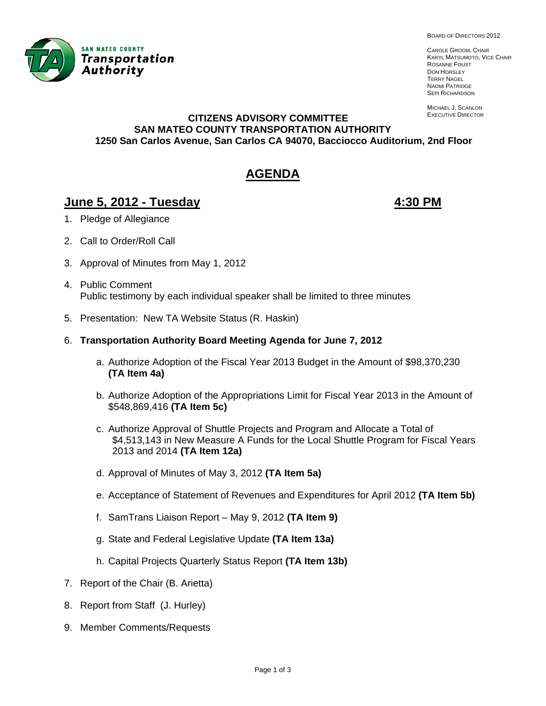

CAROLE GROOM, CHAIR KARYL MATSUMOTO, VICE CHAIR ROSANNE FOUST DON HORSLEY TERRY NAGEL NAOMI PATRIDGE **SEPI RICHARDSON** 

MICHAEL J. SCANLON EXECUTIVE DIRECTOR

#### **CITIZENS ADVISORY COMMITTEE SAN MATEO COUNTY TRANSPORTATION AUTHORITY 1250 San Carlos Avenue, San Carlos CA 94070, Bacciocco Auditorium, 2nd Floor**

# **AGENDA**

# **June 5, 2012 - Tuesday 4:30 PM**

- 1. Pledge of Allegiance
- 2. Call to Order/Roll Call
- 3. Approval of Minutes from May 1, 2012
- 4. Public Comment Public testimony by each individual speaker shall be limited to three minutes
- 5. Presentation: New TA Website Status (R. Haskin)
- 6. **Transportation Authority Board Meeting Agenda for June 7, 2012**
	- a. Authorize Adoption of the Fiscal Year 2013 Budget in the Amount of \$98,370,230 **(TA Item 4a)**
	- b. Authorize Adoption of the Appropriations Limit for Fiscal Year 2013 in the Amount of \$548,869,416 **(TA Item 5c)**
	- c. Authorize Approval of Shuttle Projects and Program and Allocate a Total of \$4,513,143 in New Measure A Funds for the Local Shuttle Program for Fiscal Years 2013 and 2014 **(TA Item 12a)**
	- d. Approval of Minutes of May 3, 2012 **(TA Item 5a)**
	- e. Acceptance of Statement of Revenues and Expenditures for April 2012 **(TA Item 5b)**
	- f. SamTrans Liaison Report May 9, 2012 **(TA Item 9)**
	- g. State and Federal Legislative Update **(TA Item 13a)**
	- h. Capital Projects Quarterly Status Report **(TA Item 13b)**
- 7. Report of the Chair (B. Arietta)
- 8. Report from Staff (J. Hurley)
- 9. Member Comments/Requests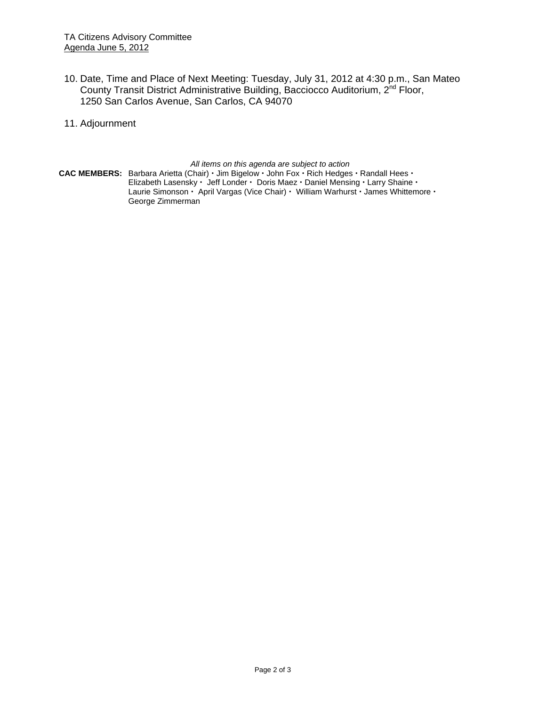- 10. Date, Time and Place of Next Meeting: Tuesday, July 31, 2012 at 4:30 p.m., San Mateo County Transit District Administrative Building, Bacciocco Auditorium, 2<sup>nd</sup> Floor, 1250 San Carlos Avenue, San Carlos, CA 94070
- 11. Adjournment

*All items on this agenda are subject to action* 

**CAC MEMBERS:** Barbara Arietta (Chair)  $\cdot$  Jim Bigelow  $\cdot$  John Fox  $\cdot$  Rich Hedges  $\cdot$  Randall Hees  $\cdot$ Elizabeth Lasensky · Jeff Londer · Doris Maez · Daniel Mensing · Larry Shaine · Laurie Simonson · April Vargas (Vice Chair) · William Warhurst · James Whittemore · George Zimmerman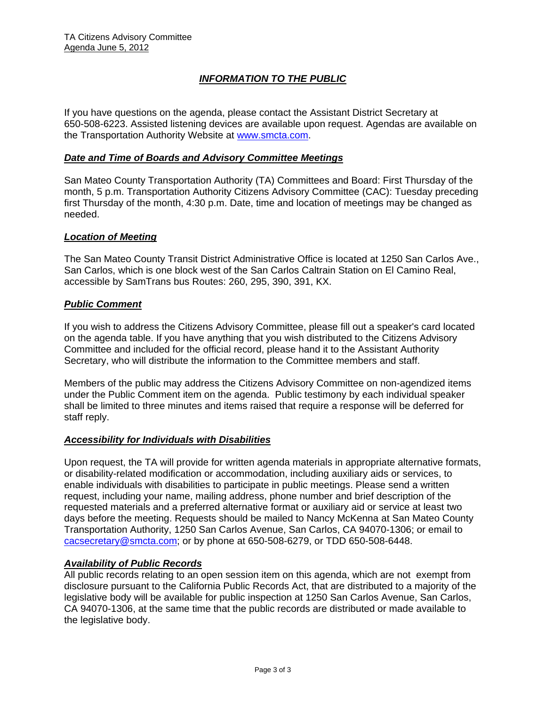## *INFORMATION TO THE PUBLIC*

If you have questions on the agenda, please contact the Assistant District Secretary at 650-508-6223. Assisted listening devices are available upon request. Agendas are available on the Transportation Authority Website at www.smcta.com.

#### *Date and Time of Boards and Advisory Committee Meetings*

San Mateo County Transportation Authority (TA) Committees and Board: First Thursday of the month, 5 p.m. Transportation Authority Citizens Advisory Committee (CAC): Tuesday preceding first Thursday of the month, 4:30 p.m. Date, time and location of meetings may be changed as needed.

#### *Location of Meeting*

The San Mateo County Transit District Administrative Office is located at 1250 San Carlos Ave., San Carlos, which is one block west of the San Carlos Caltrain Station on El Camino Real, accessible by SamTrans bus Routes: 260, 295, 390, 391, KX.

#### *Public Comment*

If you wish to address the Citizens Advisory Committee, please fill out a speaker's card located on the agenda table. If you have anything that you wish distributed to the Citizens Advisory Committee and included for the official record, please hand it to the Assistant Authority Secretary, who will distribute the information to the Committee members and staff.

Members of the public may address the Citizens Advisory Committee on non-agendized items under the Public Comment item on the agenda. Public testimony by each individual speaker shall be limited to three minutes and items raised that require a response will be deferred for staff reply.

#### *Accessibility for Individuals with Disabilities*

Upon request, the TA will provide for written agenda materials in appropriate alternative formats, or disability-related modification or accommodation, including auxiliary aids or services, to enable individuals with disabilities to participate in public meetings. Please send a written request, including your name, mailing address, phone number and brief description of the requested materials and a preferred alternative format or auxiliary aid or service at least two days before the meeting. Requests should be mailed to Nancy McKenna at San Mateo County Transportation Authority, 1250 San Carlos Avenue, San Carlos, CA 94070-1306; or email to cacsecretary@smcta.com; or by phone at 650-508-6279, or TDD 650-508-6448.

#### *Availability of Public Records*

All public records relating to an open session item on this agenda, which are not exempt from disclosure pursuant to the California Public Records Act, that are distributed to a majority of the legislative body will be available for public inspection at 1250 San Carlos Avenue, San Carlos, CA 94070-1306, at the same time that the public records are distributed or made available to the legislative body.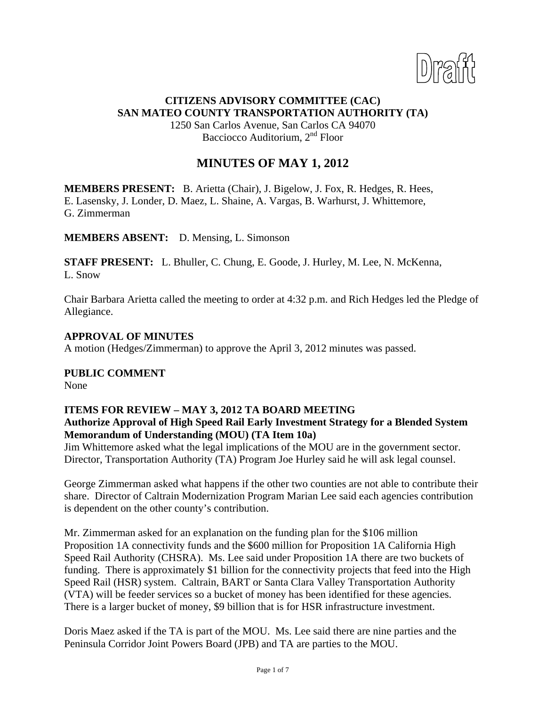

## **CITIZENS ADVISORY COMMITTEE (CAC) SAN MATEO COUNTY TRANSPORTATION AUTHORITY (TA)**

1250 San Carlos Avenue, San Carlos CA 94070 Bacciocco Auditorium, 2<sup>nd</sup> Floor

# **MINUTES OF MAY 1, 2012**

**MEMBERS PRESENT:** B. Arietta (Chair), J. Bigelow, J. Fox, R. Hedges, R. Hees, E. Lasensky, J. Londer, D. Maez, L. Shaine, A. Vargas, B. Warhurst, J. Whittemore, G. Zimmerman

**MEMBERS ABSENT:** D. Mensing, L. Simonson

**STAFF PRESENT:** L. Bhuller, C. Chung, E. Goode, J. Hurley, M. Lee, N. McKenna, L. Snow

Chair Barbara Arietta called the meeting to order at 4:32 p.m. and Rich Hedges led the Pledge of Allegiance.

#### **APPROVAL OF MINUTES**

A motion (Hedges/Zimmerman) to approve the April 3, 2012 minutes was passed.

**PUBLIC COMMENT** 

None

## **ITEMS FOR REVIEW – MAY 3, 2012 TA BOARD MEETING Authorize Approval of High Speed Rail Early Investment Strategy for a Blended System Memorandum of Understanding (MOU) (TA Item 10a)**

Jim Whittemore asked what the legal implications of the MOU are in the government sector. Director, Transportation Authority (TA) Program Joe Hurley said he will ask legal counsel.

George Zimmerman asked what happens if the other two counties are not able to contribute their share. Director of Caltrain Modernization Program Marian Lee said each agencies contribution is dependent on the other county's contribution.

Mr. Zimmerman asked for an explanation on the funding plan for the \$106 million Proposition 1A connectivity funds and the \$600 million for Proposition 1A California High Speed Rail Authority (CHSRA). Ms. Lee said under Proposition 1A there are two buckets of funding. There is approximately \$1 billion for the connectivity projects that feed into the High Speed Rail (HSR) system. Caltrain, BART or Santa Clara Valley Transportation Authority (VTA) will be feeder services so a bucket of money has been identified for these agencies. There is a larger bucket of money, \$9 billion that is for HSR infrastructure investment.

Doris Maez asked if the TA is part of the MOU. Ms. Lee said there are nine parties and the Peninsula Corridor Joint Powers Board (JPB) and TA are parties to the MOU.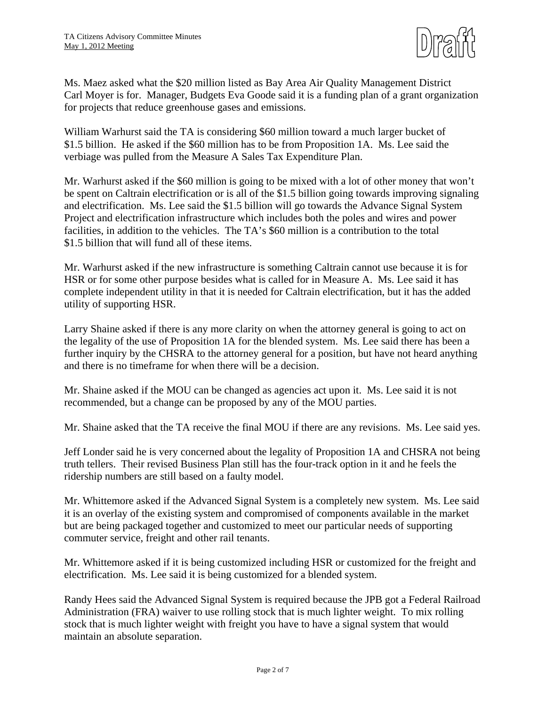

Ms. Maez asked what the \$20 million listed as Bay Area Air Quality Management District Carl Moyer is for. Manager, Budgets Eva Goode said it is a funding plan of a grant organization for projects that reduce greenhouse gases and emissions.

William Warhurst said the TA is considering \$60 million toward a much larger bucket of \$1.5 billion. He asked if the \$60 million has to be from Proposition 1A. Ms. Lee said the verbiage was pulled from the Measure A Sales Tax Expenditure Plan.

Mr. Warhurst asked if the \$60 million is going to be mixed with a lot of other money that won't be spent on Caltrain electrification or is all of the \$1.5 billion going towards improving signaling and electrification. Ms. Lee said the \$1.5 billion will go towards the Advance Signal System Project and electrification infrastructure which includes both the poles and wires and power facilities, in addition to the vehicles. The TA's \$60 million is a contribution to the total \$1.5 billion that will fund all of these items.

Mr. Warhurst asked if the new infrastructure is something Caltrain cannot use because it is for HSR or for some other purpose besides what is called for in Measure A. Ms. Lee said it has complete independent utility in that it is needed for Caltrain electrification, but it has the added utility of supporting HSR.

Larry Shaine asked if there is any more clarity on when the attorney general is going to act on the legality of the use of Proposition 1A for the blended system. Ms. Lee said there has been a further inquiry by the CHSRA to the attorney general for a position, but have not heard anything and there is no timeframe for when there will be a decision.

Mr. Shaine asked if the MOU can be changed as agencies act upon it. Ms. Lee said it is not recommended, but a change can be proposed by any of the MOU parties.

Mr. Shaine asked that the TA receive the final MOU if there are any revisions. Ms. Lee said yes.

Jeff Londer said he is very concerned about the legality of Proposition 1A and CHSRA not being truth tellers. Their revised Business Plan still has the four-track option in it and he feels the ridership numbers are still based on a faulty model.

Mr. Whittemore asked if the Advanced Signal System is a completely new system. Ms. Lee said it is an overlay of the existing system and compromised of components available in the market but are being packaged together and customized to meet our particular needs of supporting commuter service, freight and other rail tenants.

Mr. Whittemore asked if it is being customized including HSR or customized for the freight and electrification. Ms. Lee said it is being customized for a blended system.

Randy Hees said the Advanced Signal System is required because the JPB got a Federal Railroad Administration (FRA) waiver to use rolling stock that is much lighter weight. To mix rolling stock that is much lighter weight with freight you have to have a signal system that would maintain an absolute separation.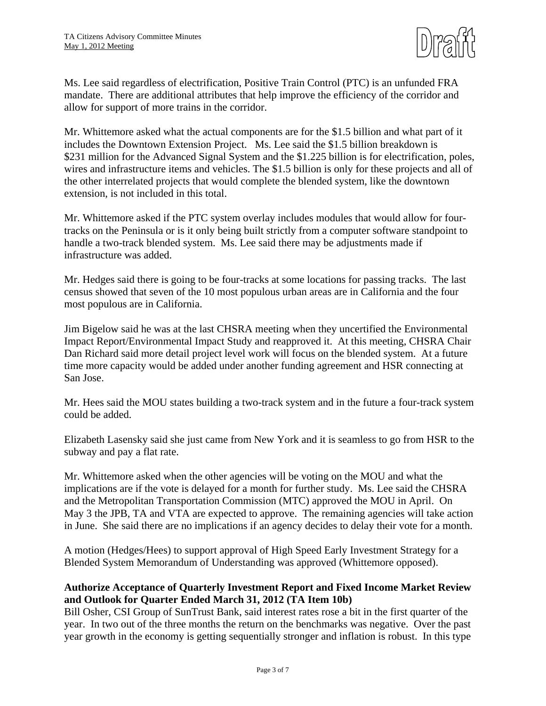

Ms. Lee said regardless of electrification, Positive Train Control (PTC) is an unfunded FRA mandate. There are additional attributes that help improve the efficiency of the corridor and allow for support of more trains in the corridor.

Mr. Whittemore asked what the actual components are for the \$1.5 billion and what part of it includes the Downtown Extension Project. Ms. Lee said the \$1.5 billion breakdown is \$231 million for the Advanced Signal System and the \$1.225 billion is for electrification, poles, wires and infrastructure items and vehicles. The \$1.5 billion is only for these projects and all of the other interrelated projects that would complete the blended system, like the downtown extension, is not included in this total.

Mr. Whittemore asked if the PTC system overlay includes modules that would allow for fourtracks on the Peninsula or is it only being built strictly from a computer software standpoint to handle a two-track blended system. Ms. Lee said there may be adjustments made if infrastructure was added.

Mr. Hedges said there is going to be four-tracks at some locations for passing tracks. The last census showed that seven of the 10 most populous urban areas are in California and the four most populous are in California.

Jim Bigelow said he was at the last CHSRA meeting when they uncertified the Environmental Impact Report/Environmental Impact Study and reapproved it. At this meeting, CHSRA Chair Dan Richard said more detail project level work will focus on the blended system. At a future time more capacity would be added under another funding agreement and HSR connecting at San Jose.

Mr. Hees said the MOU states building a two-track system and in the future a four-track system could be added.

Elizabeth Lasensky said she just came from New York and it is seamless to go from HSR to the subway and pay a flat rate.

Mr. Whittemore asked when the other agencies will be voting on the MOU and what the implications are if the vote is delayed for a month for further study. Ms. Lee said the CHSRA and the Metropolitan Transportation Commission (MTC) approved the MOU in April. On May 3 the JPB, TA and VTA are expected to approve. The remaining agencies will take action in June. She said there are no implications if an agency decides to delay their vote for a month.

A motion (Hedges/Hees) to support approval of High Speed Early Investment Strategy for a Blended System Memorandum of Understanding was approved (Whittemore opposed).

### **Authorize Acceptance of Quarterly Investment Report and Fixed Income Market Review and Outlook for Quarter Ended March 31, 2012 (TA Item 10b)**

Bill Osher, CSI Group of SunTrust Bank, said interest rates rose a bit in the first quarter of the year. In two out of the three months the return on the benchmarks was negative. Over the past year growth in the economy is getting sequentially stronger and inflation is robust. In this type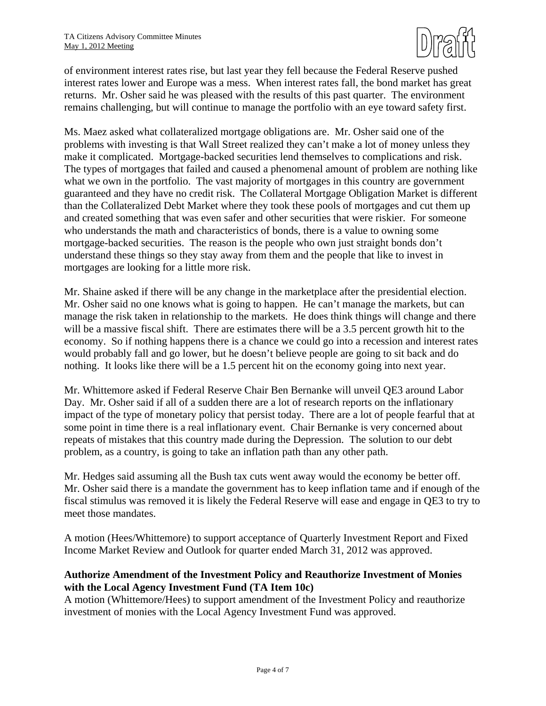

of environment interest rates rise, but last year they fell because the Federal Reserve pushed interest rates lower and Europe was a mess. When interest rates fall, the bond market has great returns. Mr. Osher said he was pleased with the results of this past quarter. The environment remains challenging, but will continue to manage the portfolio with an eye toward safety first.

Ms. Maez asked what collateralized mortgage obligations are. Mr. Osher said one of the problems with investing is that Wall Street realized they can't make a lot of money unless they make it complicated. Mortgage-backed securities lend themselves to complications and risk. The types of mortgages that failed and caused a phenomenal amount of problem are nothing like what we own in the portfolio. The vast majority of mortgages in this country are government guaranteed and they have no credit risk. The Collateral Mortgage Obligation Market is different than the Collateralized Debt Market where they took these pools of mortgages and cut them up and created something that was even safer and other securities that were riskier. For someone who understands the math and characteristics of bonds, there is a value to owning some mortgage-backed securities. The reason is the people who own just straight bonds don't understand these things so they stay away from them and the people that like to invest in mortgages are looking for a little more risk.

Mr. Shaine asked if there will be any change in the marketplace after the presidential election. Mr. Osher said no one knows what is going to happen. He can't manage the markets, but can manage the risk taken in relationship to the markets. He does think things will change and there will be a massive fiscal shift. There are estimates there will be a 3.5 percent growth hit to the economy. So if nothing happens there is a chance we could go into a recession and interest rates would probably fall and go lower, but he doesn't believe people are going to sit back and do nothing. It looks like there will be a 1.5 percent hit on the economy going into next year.

Mr. Whittemore asked if Federal Reserve Chair Ben Bernanke will unveil QE3 around Labor Day. Mr. Osher said if all of a sudden there are a lot of research reports on the inflationary impact of the type of monetary policy that persist today. There are a lot of people fearful that at some point in time there is a real inflationary event. Chair Bernanke is very concerned about repeats of mistakes that this country made during the Depression. The solution to our debt problem, as a country, is going to take an inflation path than any other path.

Mr. Hedges said assuming all the Bush tax cuts went away would the economy be better off. Mr. Osher said there is a mandate the government has to keep inflation tame and if enough of the fiscal stimulus was removed it is likely the Federal Reserve will ease and engage in QE3 to try to meet those mandates.

A motion (Hees/Whittemore) to support acceptance of Quarterly Investment Report and Fixed Income Market Review and Outlook for quarter ended March 31, 2012 was approved.

## **Authorize Amendment of the Investment Policy and Reauthorize Investment of Monies with the Local Agency Investment Fund (TA Item 10c)**

A motion (Whittemore/Hees) to support amendment of the Investment Policy and reauthorize investment of monies with the Local Agency Investment Fund was approved.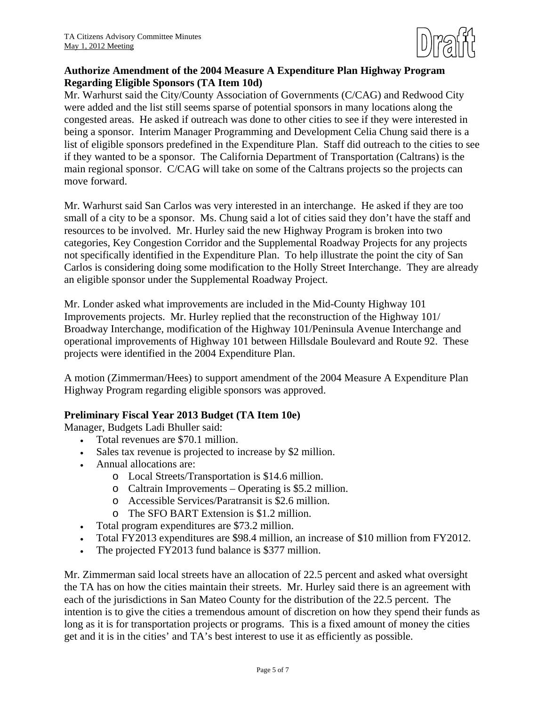

## **Authorize Amendment of the 2004 Measure A Expenditure Plan Highway Program Regarding Eligible Sponsors (TA Item 10d)**

Mr. Warhurst said the City/County Association of Governments (C/CAG) and Redwood City were added and the list still seems sparse of potential sponsors in many locations along the congested areas. He asked if outreach was done to other cities to see if they were interested in being a sponsor. Interim Manager Programming and Development Celia Chung said there is a list of eligible sponsors predefined in the Expenditure Plan. Staff did outreach to the cities to see if they wanted to be a sponsor. The California Department of Transportation (Caltrans) is the main regional sponsor. C/CAG will take on some of the Caltrans projects so the projects can move forward.

Mr. Warhurst said San Carlos was very interested in an interchange. He asked if they are too small of a city to be a sponsor. Ms. Chung said a lot of cities said they don't have the staff and resources to be involved. Mr. Hurley said the new Highway Program is broken into two categories, Key Congestion Corridor and the Supplemental Roadway Projects for any projects not specifically identified in the Expenditure Plan. To help illustrate the point the city of San Carlos is considering doing some modification to the Holly Street Interchange. They are already an eligible sponsor under the Supplemental Roadway Project.

Mr. Londer asked what improvements are included in the Mid-County Highway 101 Improvements projects. Mr. Hurley replied that the reconstruction of the Highway 101/ Broadway Interchange, modification of the Highway 101/Peninsula Avenue Interchange and operational improvements of Highway 101 between Hillsdale Boulevard and Route 92. These projects were identified in the 2004 Expenditure Plan.

A motion (Zimmerman/Hees) to support amendment of the 2004 Measure A Expenditure Plan Highway Program regarding eligible sponsors was approved.

## **Preliminary Fiscal Year 2013 Budget (TA Item 10e)**

Manager, Budgets Ladi Bhuller said:

- Total revenues are \$70.1 million.
- Sales tax revenue is projected to increase by \$2 million.
- Annual allocations are:
	- o Local Streets/Transportation is \$14.6 million.
	- o Caltrain Improvements Operating is \$5.2 million.
	- o Accessible Services/Paratransit is \$2.6 million.
	- o The SFO BART Extension is \$1.2 million.
- Total program expenditures are \$73.2 million.
- Total FY2013 expenditures are \$98.4 million, an increase of \$10 million from FY2012.
- The projected FY2013 fund balance is \$377 million.

Mr. Zimmerman said local streets have an allocation of 22.5 percent and asked what oversight the TA has on how the cities maintain their streets. Mr. Hurley said there is an agreement with each of the jurisdictions in San Mateo County for the distribution of the 22.5 percent. The intention is to give the cities a tremendous amount of discretion on how they spend their funds as long as it is for transportation projects or programs. This is a fixed amount of money the cities get and it is in the cities' and TA's best interest to use it as efficiently as possible.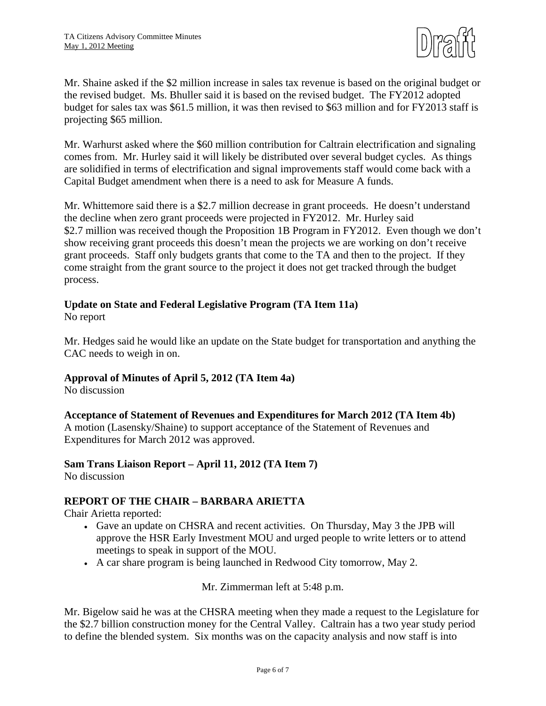

Mr. Shaine asked if the \$2 million increase in sales tax revenue is based on the original budget or the revised budget. Ms. Bhuller said it is based on the revised budget. The FY2012 adopted budget for sales tax was \$61.5 million, it was then revised to \$63 million and for FY2013 staff is projecting \$65 million.

Mr. Warhurst asked where the \$60 million contribution for Caltrain electrification and signaling comes from. Mr. Hurley said it will likely be distributed over several budget cycles. As things are solidified in terms of electrification and signal improvements staff would come back with a Capital Budget amendment when there is a need to ask for Measure A funds.

Mr. Whittemore said there is a \$2.7 million decrease in grant proceeds. He doesn't understand the decline when zero grant proceeds were projected in FY2012. Mr. Hurley said \$2.7 million was received though the Proposition 1B Program in FY2012. Even though we don't show receiving grant proceeds this doesn't mean the projects we are working on don't receive grant proceeds. Staff only budgets grants that come to the TA and then to the project. If they come straight from the grant source to the project it does not get tracked through the budget process.

## **Update on State and Federal Legislative Program (TA Item 11a)**

No report

Mr. Hedges said he would like an update on the State budget for transportation and anything the CAC needs to weigh in on.

## **Approval of Minutes of April 5, 2012 (TA Item 4a)**

No discussion

### **Acceptance of Statement of Revenues and Expenditures for March 2012 (TA Item 4b)**

A motion (Lasensky/Shaine) to support acceptance of the Statement of Revenues and Expenditures for March 2012 was approved.

#### **Sam Trans Liaison Report – April 11, 2012 (TA Item 7)**  No discussion

# **REPORT OF THE CHAIR – BARBARA ARIETTA**

Chair Arietta reported:

- Gave an update on CHSRA and recent activities. On Thursday, May 3 the JPB will approve the HSR Early Investment MOU and urged people to write letters or to attend meetings to speak in support of the MOU.
- A car share program is being launched in Redwood City tomorrow, May 2.

Mr. Zimmerman left at 5:48 p.m.

Mr. Bigelow said he was at the CHSRA meeting when they made a request to the Legislature for the \$2.7 billion construction money for the Central Valley. Caltrain has a two year study period to define the blended system. Six months was on the capacity analysis and now staff is into